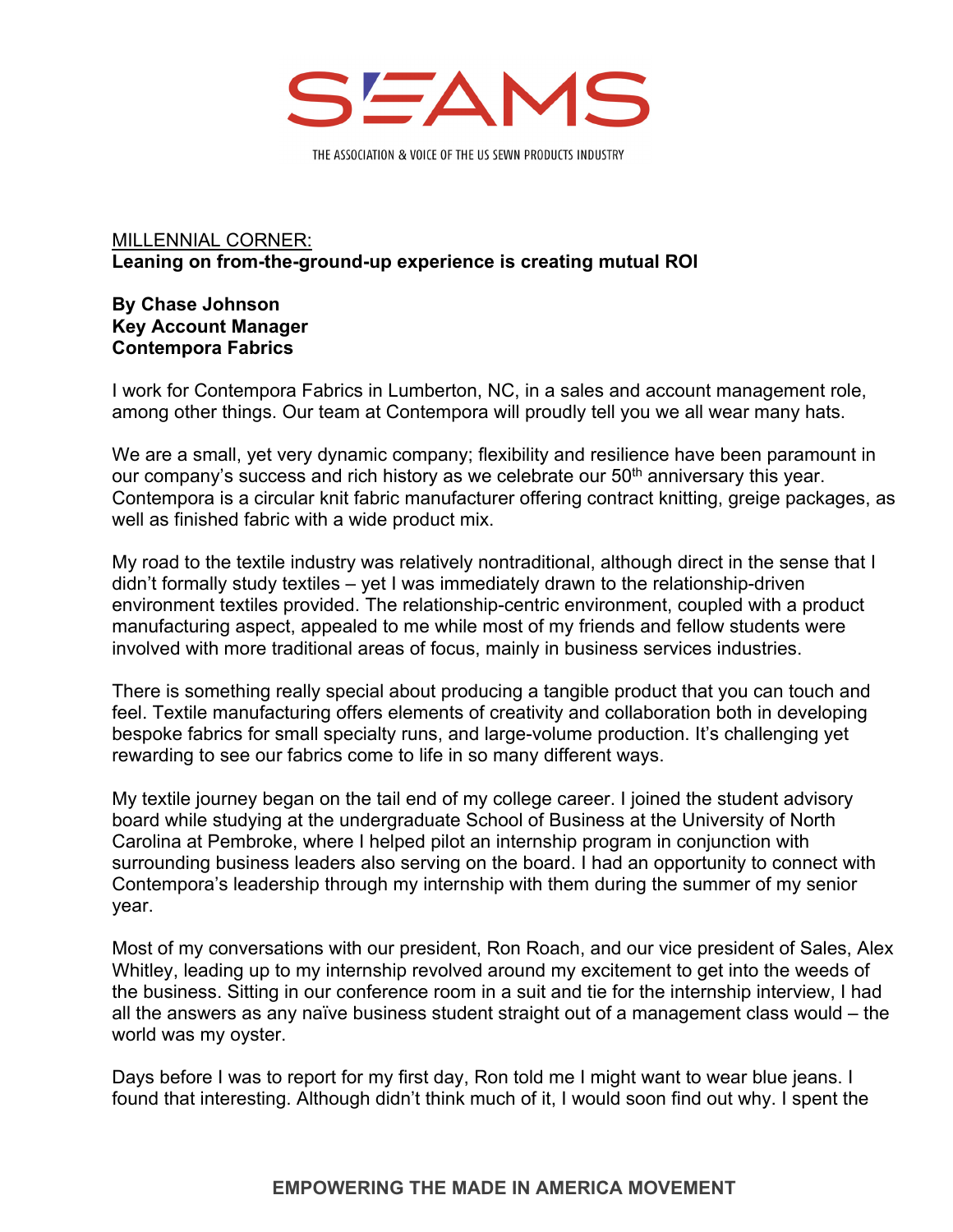

THE ASSOCIATION & VOICE OF THE US SEWN PRODUCTS INDUSTRY

## MILLENNIAL CORNER: **Leaning on from-the-ground-up experience is creating mutual ROI**

## **By Chase Johnson Key Account Manager Contempora Fabrics**

I work for Contempora Fabrics in Lumberton, NC, in a sales and account management role, among other things. Our team at Contempora will proudly tell you we all wear many hats.

We are a small, yet very dynamic company; flexibility and resilience have been paramount in our company's success and rich history as we celebrate our 50<sup>th</sup> anniversary this year. Contempora is a circular knit fabric manufacturer offering contract knitting, greige packages, as well as finished fabric with a wide product mix.

My road to the textile industry was relatively nontraditional, although direct in the sense that I didn't formally study textiles – yet I was immediately drawn to the relationship-driven environment textiles provided. The relationship-centric environment, coupled with a product manufacturing aspect, appealed to me while most of my friends and fellow students were involved with more traditional areas of focus, mainly in business services industries.

There is something really special about producing a tangible product that you can touch and feel. Textile manufacturing offers elements of creativity and collaboration both in developing bespoke fabrics for small specialty runs, and large-volume production. It's challenging yet rewarding to see our fabrics come to life in so many different ways.

My textile journey began on the tail end of my college career. I joined the student advisory board while studying at the undergraduate School of Business at the University of North Carolina at Pembroke, where I helped pilot an internship program in conjunction with surrounding business leaders also serving on the board. I had an opportunity to connect with Contempora's leadership through my internship with them during the summer of my senior year.

Most of my conversations with our president, Ron Roach, and our vice president of Sales, Alex Whitley, leading up to my internship revolved around my excitement to get into the weeds of the business. Sitting in our conference room in a suit and tie for the internship interview, I had all the answers as any naïve business student straight out of a management class would – the world was my oyster.

Days before I was to report for my first day, Ron told me I might want to wear blue jeans. I found that interesting. Although didn't think much of it, I would soon find out why. I spent the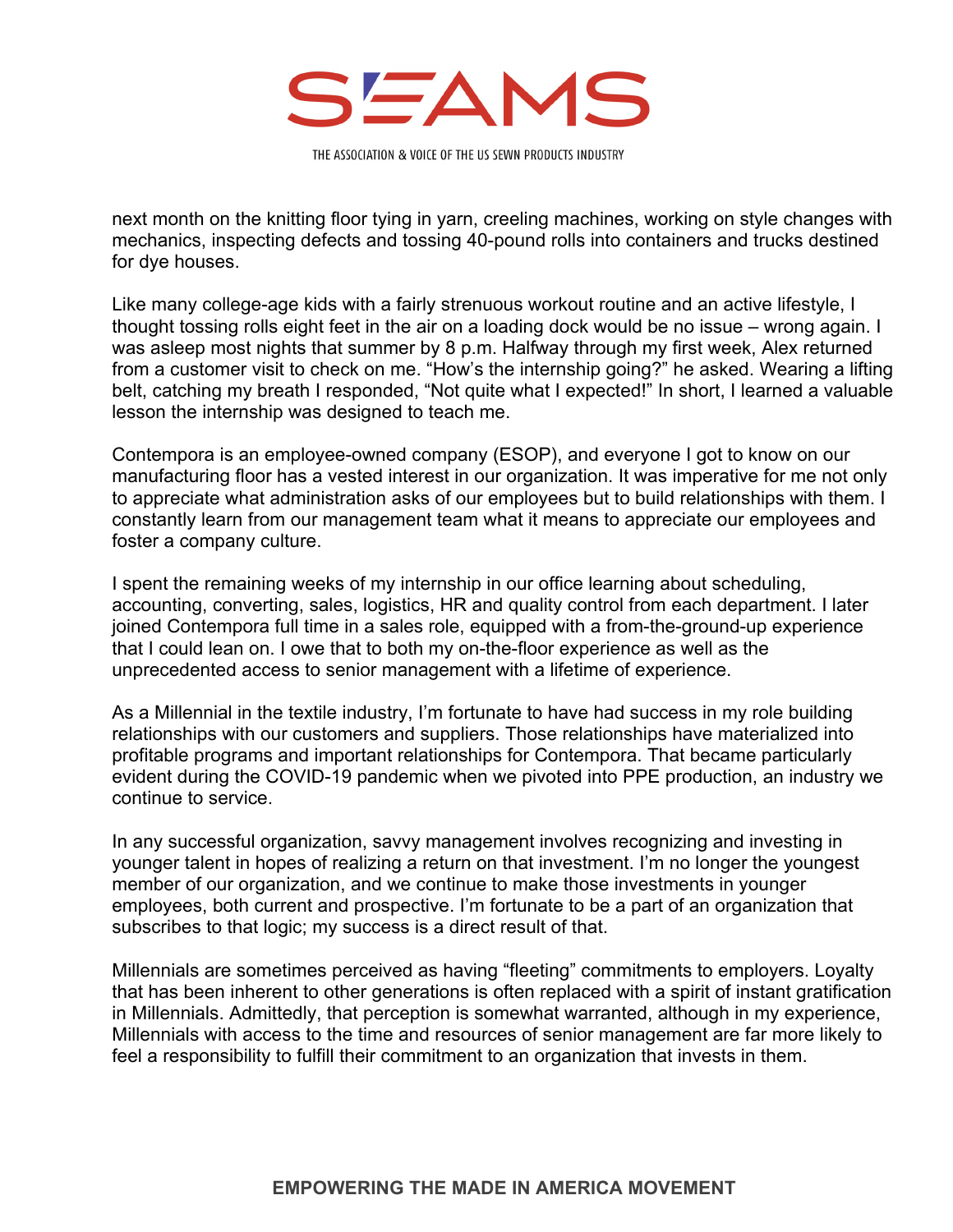

THE ASSOCIATION & VOICE OF THE US SEWN PRODUCTS INDUSTRY

next month on the knitting floor tying in yarn, creeling machines, working on style changes with mechanics, inspecting defects and tossing 40-pound rolls into containers and trucks destined for dye houses.

Like many college-age kids with a fairly strenuous workout routine and an active lifestyle, I thought tossing rolls eight feet in the air on a loading dock would be no issue – wrong again. I was asleep most nights that summer by 8 p.m. Halfway through my first week, Alex returned from a customer visit to check on me. "How's the internship going?" he asked. Wearing a lifting belt, catching my breath I responded, "Not quite what I expected!" In short, I learned a valuable lesson the internship was designed to teach me.

Contempora is an employee-owned company (ESOP), and everyone I got to know on our manufacturing floor has a vested interest in our organization. It was imperative for me not only to appreciate what administration asks of our employees but to build relationships with them. I constantly learn from our management team what it means to appreciate our employees and foster a company culture.

I spent the remaining weeks of my internship in our office learning about scheduling, accounting, converting, sales, logistics, HR and quality control from each department. I later joined Contempora full time in a sales role, equipped with a from-the-ground-up experience that I could lean on. I owe that to both my on-the-floor experience as well as the unprecedented access to senior management with a lifetime of experience.

As a Millennial in the textile industry, I'm fortunate to have had success in my role building relationships with our customers and suppliers. Those relationships have materialized into profitable programs and important relationships for Contempora. That became particularly evident during the COVID-19 pandemic when we pivoted into PPE production, an industry we continue to service.

In any successful organization, savvy management involves recognizing and investing in younger talent in hopes of realizing a return on that investment. I'm no longer the youngest member of our organization, and we continue to make those investments in younger employees, both current and prospective. I'm fortunate to be a part of an organization that subscribes to that logic; my success is a direct result of that.

Millennials are sometimes perceived as having "fleeting" commitments to employers. Loyalty that has been inherent to other generations is often replaced with a spirit of instant gratification in Millennials. Admittedly, that perception is somewhat warranted, although in my experience, Millennials with access to the time and resources of senior management are far more likely to feel a responsibility to fulfill their commitment to an organization that invests in them.